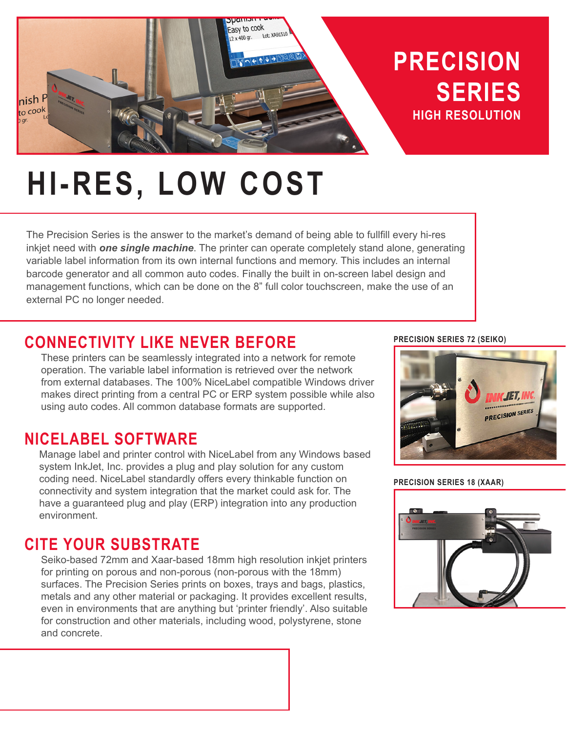

# **HI-RES, LOW COST**

The Precision Series is the answer to the market's demand of being able to fullfill every hi-res inkjet need with *one single machine*. The printer can operate completely stand alone, generating variable label information from its own internal functions and memory. This includes an internal barcode generator and all common auto codes. Finally the built in on-screen label design and management functions, which can be done on the 8" full color touchscreen, make the use of an external PC no longer needed.

# **CONNECTIVITY LIKE NEVER BEFORE**

These printers can be seamlessly integrated into a network for remote operation. The variable label information is retrieved over the network from external databases. The 100% NiceLabel compatible Windows driver makes direct printing from a central PC or ERP system possible while also using auto codes. All common database formats are supported.

# **NICELABEL SOFTWARE**

Manage label and printer control with NiceLabel from any Windows based system InkJet, Inc. provides a plug and play solution for any custom coding need. NiceLabel standardly offers every thinkable function on connectivity and system integration that the market could ask for. The have a guaranteed plug and play (ERP) integration into any production environment.

# **CITE YOUR SUBSTRATE**

Seiko-based 72mm and Xaar-based 18mm high resolution inkjet printers for printing on porous and non-porous (non-porous with the 18mm) surfaces. The Precision Series prints on boxes, trays and bags, plastics, metals and any other material or packaging. It provides excellent results, even in environments that are anything but 'printer friendly'. Also suitable for construction and other materials, including wood, polystyrene, stone and concrete.

#### **PRECISION SERIES 72 (SEIKO)**



**PRECISION SERIES 18 (XAAR)**